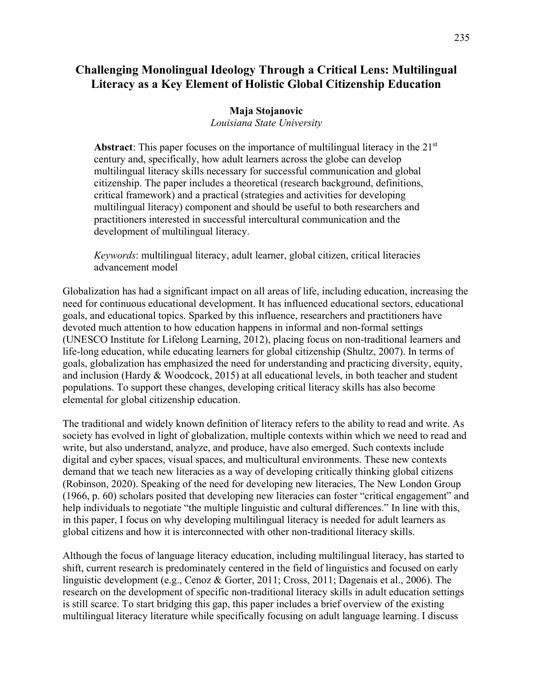# **Challenging Monolingual Ideology Through a Critical Lens: Multilingual Literacy as a Key Element of Holistic Global Citizenship Education**

## **Maja Stojanovic**

*Louisiana State University*

**Abstract**: This paper focuses on the importance of multilingual literacy in the 21<sup>st</sup> century and, specifically, how adult learners across the globe can develop multilingual literacy skills necessary for successful communication and global citizenship. The paper includes a theoretical (research background, definitions, critical framework) and a practical (strategies and activities for developing multilingual literacy) component and should be useful to both researchers and practitioners interested in successful intercultural communication and the development of multilingual literacy.

*Keywords*: multilingual literacy, adult learner, global citizen, critical literacies advancement model

Globalization has had a significant impact on all areas of life, including education, increasing the need for continuous educational development. It has influenced educational sectors, educational goals, and educational topics. Sparked by this influence, researchers and practitioners have devoted much attention to how education happens in informal and non-formal settings (UNESCO Institute for Lifelong Learning, 2012), placing focus on non-traditional learners and life-long education, while educating learners for global citizenship (Shultz, 2007). In terms of goals, globalization has emphasized the need for understanding and practicing diversity, equity, and inclusion (Hardy & Woodcock, 2015) at all educational levels, in both teacher and student populations. To support these changes, developing critical literacy skills has also become elemental for global citizenship education.

The traditional and widely known definition of literacy refers to the ability to read and write. As society has evolved in light of globalization, multiple contexts within which we need to read and write, but also understand, analyze, and produce, have also emerged. Such contexts include digital and cyber spaces, visual spaces, and multicultural environments. These new contexts demand that we teach new literacies as a way of developing critically thinking global citizens (Robinson, 2020). Speaking of the need for developing new literacies, The New London Group (1966, p. 60) scholars posited that developing new literacies can foster "critical engagement" and help individuals to negotiate "the multiple linguistic and cultural differences." In line with this, in this paper, I focus on why developing multilingual literacy is needed for adult learners as global citizens and how it is interconnected with other non-traditional literacy skills.

Although the focus of language literacy education, including multilingual literacy, has started to shift, current research is predominately centered in the field of linguistics and focused on early linguistic development (e.g., Cenoz & Gorter, 2011; Cross, 2011; Dagenais et al., 2006). The research on the development of specific non-traditional literacy skills in adult education settings is still scarce. To start bridging this gap, this paper includes a brief overview of the existing multilingual literacy literature while specifically focusing on adult language learning. I discuss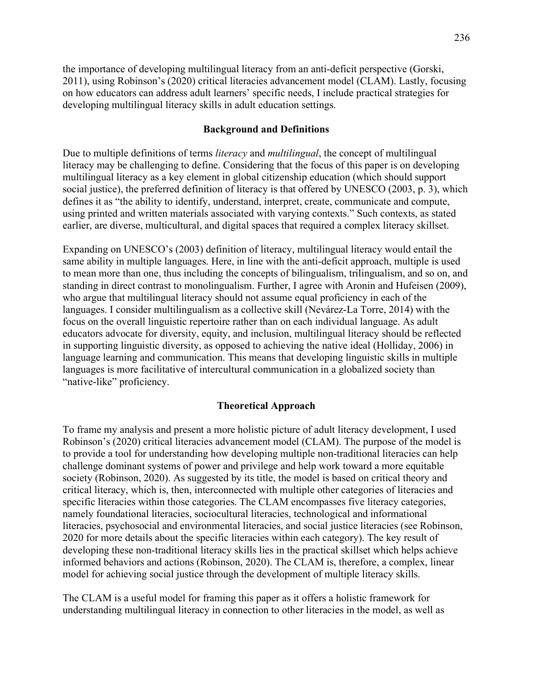the importance of developing multilingual literacy from an anti-deficit perspective (Gorski, 2011), using Robinson's (2020) critical literacies advancement model (CLAM). Lastly, focusing on how educators can address adult learners' specific needs, I include practical strategies for developing multilingual literacy skills in adult education settings.

## **Background and Definitions**

Due to multiple definitions of terms *literacy* and *multilingual*, the concept of multilingual literacy may be challenging to define. Considering that the focus of this paper is on developing multilingual literacy as a key element in global citizenship education (which should support social justice), the preferred definition of literacy is that offered by UNESCO (2003, p. 3), which defines it as "the ability to identify, understand, interpret, create, communicate and compute, using printed and written materials associated with varying contexts." Such contexts, as stated earlier, are diverse, multicultural, and digital spaces that required a complex literacy skillset.

Expanding on UNESCO's (2003) definition of literacy, multilingual literacy would entail the same ability in multiple languages. Here, in line with the anti-deficit approach, multiple is used to mean more than one, thus including the concepts of bilingualism, trilingualism, and so on, and standing in direct contrast to monolingualism. Further, I agree with Aronin and Hufeisen (2009), who argue that multilingual literacy should not assume equal proficiency in each of the languages. I consider multilingualism as a collective skill (Nevárez-La Torre, 2014) with the focus on the overall linguistic repertoire rather than on each individual language. As adult educators advocate for diversity, equity, and inclusion, multilingual literacy should be reflected in supporting linguistic diversity, as opposed to achieving the native ideal (Holliday, 2006) in language learning and communication. This means that developing linguistic skills in multiple languages is more facilitative of intercultural communication in a globalized society than "native-like" proficiency.

#### **Theoretical Approach**

To frame my analysis and present a more holistic picture of adult literacy development, I used Robinson's (2020) critical literacies advancement model (CLAM). The purpose of the model is to provide a tool for understanding how developing multiple non-traditional literacies can help challenge dominant systems of power and privilege and help work toward a more equitable society (Robinson, 2020). As suggested by its title, the model is based on critical theory and critical literacy, which is, then, interconnected with multiple other categories of literacies and specific literacies within those categories. The CLAM encompasses five literacy categories, namely foundational literacies, sociocultural literacies, technological and informational literacies, psychosocial and environmental literacies, and social justice literacies (see Robinson, 2020 for more details about the specific literacies within each category). The key result of developing these non-traditional literacy skills lies in the practical skillset which helps achieve informed behaviors and actions (Robinson, 2020). The CLAM is, therefore, a complex, linear model for achieving social justice through the development of multiple literacy skills.

The CLAM is a useful model for framing this paper as it offers a holistic framework for understanding multilingual literacy in connection to other literacies in the model, as well as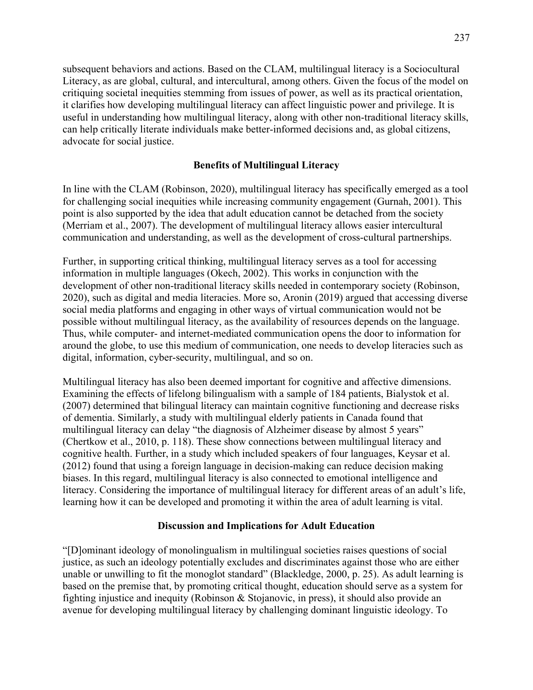subsequent behaviors and actions. Based on the CLAM, multilingual literacy is a Sociocultural Literacy, as are global, cultural, and intercultural, among others. Given the focus of the model on critiquing societal inequities stemming from issues of power, as well as its practical orientation, it clarifies how developing multilingual literacy can affect linguistic power and privilege. It is useful in understanding how multilingual literacy, along with other non-traditional literacy skills, can help critically literate individuals make better-informed decisions and, as global citizens, advocate for social justice.

## **Benefits of Multilingual Literacy**

In line with the CLAM (Robinson, 2020), multilingual literacy has specifically emerged as a tool for challenging social inequities while increasing community engagement (Gurnah, 2001). This point is also supported by the idea that adult education cannot be detached from the society (Merriam et al., 2007). The development of multilingual literacy allows easier intercultural communication and understanding, as well as the development of cross-cultural partnerships.

Further, in supporting critical thinking, multilingual literacy serves as a tool for accessing information in multiple languages (Okech, 2002). This works in conjunction with the development of other non-traditional literacy skills needed in contemporary society (Robinson, 2020), such as digital and media literacies. More so, Aronin (2019) argued that accessing diverse social media platforms and engaging in other ways of virtual communication would not be possible without multilingual literacy, as the availability of resources depends on the language. Thus, while computer- and internet-mediated communication opens the door to information for around the globe, to use this medium of communication, one needs to develop literacies such as digital, information, cyber-security, multilingual, and so on.

Multilingual literacy has also been deemed important for cognitive and affective dimensions. Examining the effects of lifelong bilingualism with a sample of 184 patients, Bialystok et al. (2007) determined that bilingual literacy can maintain cognitive functioning and decrease risks of dementia. Similarly, a study with multilingual elderly patients in Canada found that multilingual literacy can delay "the diagnosis of Alzheimer disease by almost 5 years" (Chertkow et al., 2010, p. 118). These show connections between multilingual literacy and cognitive health. Further, in a study which included speakers of four languages, Keysar et al. (2012) found that using a foreign language in decision-making can reduce decision making biases. In this regard, multilingual literacy is also connected to emotional intelligence and literacy. Considering the importance of multilingual literacy for different areas of an adult's life, learning how it can be developed and promoting it within the area of adult learning is vital.

## **Discussion and Implications for Adult Education**

"[D]ominant ideology of monolingualism in multilingual societies raises questions of social justice, as such an ideology potentially excludes and discriminates against those who are either unable or unwilling to fit the monoglot standard" (Blackledge, 2000, p. 25). As adult learning is based on the premise that, by promoting critical thought, education should serve as a system for fighting injustice and inequity (Robinson & Stojanovic, in press), it should also provide an avenue for developing multilingual literacy by challenging dominant linguistic ideology. To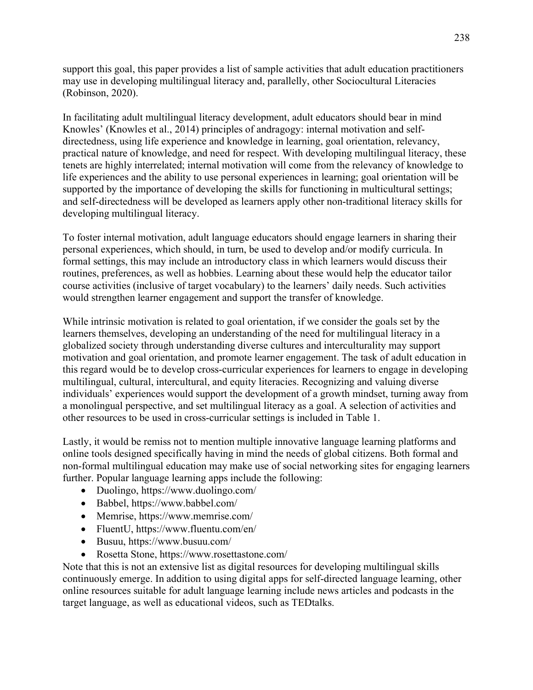support this goal, this paper provides a list of sample activities that adult education practitioners may use in developing multilingual literacy and, parallelly, other Sociocultural Literacies (Robinson, 2020).

In facilitating adult multilingual literacy development, adult educators should bear in mind Knowles' (Knowles et al., 2014) principles of andragogy: internal motivation and selfdirectedness, using life experience and knowledge in learning, goal orientation, relevancy, practical nature of knowledge, and need for respect. With developing multilingual literacy, these tenets are highly interrelated; internal motivation will come from the relevancy of knowledge to life experiences and the ability to use personal experiences in learning; goal orientation will be supported by the importance of developing the skills for functioning in multicultural settings; and self-directedness will be developed as learners apply other non-traditional literacy skills for developing multilingual literacy.

To foster internal motivation, adult language educators should engage learners in sharing their personal experiences, which should, in turn, be used to develop and/or modify curricula. In formal settings, this may include an introductory class in which learners would discuss their routines, preferences, as well as hobbies. Learning about these would help the educator tailor course activities (inclusive of target vocabulary) to the learners' daily needs. Such activities would strengthen learner engagement and support the transfer of knowledge.

While intrinsic motivation is related to goal orientation, if we consider the goals set by the learners themselves, developing an understanding of the need for multilingual literacy in a globalized society through understanding diverse cultures and interculturality may support motivation and goal orientation, and promote learner engagement. The task of adult education in this regard would be to develop cross-curricular experiences for learners to engage in developing multilingual, cultural, intercultural, and equity literacies. Recognizing and valuing diverse individuals' experiences would support the development of a growth mindset, turning away from a monolingual perspective, and set multilingual literacy as a goal. A selection of activities and other resources to be used in cross-curricular settings is included in Table 1.

Lastly, it would be remiss not to mention multiple innovative language learning platforms and online tools designed specifically having in mind the needs of global citizens. Both formal and non-formal multilingual education may make use of social networking sites for engaging learners further. Popular language learning apps include the following:

- Duolingo, https://www.duolingo.com/
- Babbel, https://www.babbel.com/
- Memrise, https://www.memrise.com/
- FluentU, https://www.fluentu.com/en/
- Busuu, https://www.busuu.com/
- Rosetta Stone, https://www.rosettastone.com/

Note that this is not an extensive list as digital resources for developing multilingual skills continuously emerge. In addition to using digital apps for self-directed language learning, other online resources suitable for adult language learning include news articles and podcasts in the target language, as well as educational videos, such as TEDtalks.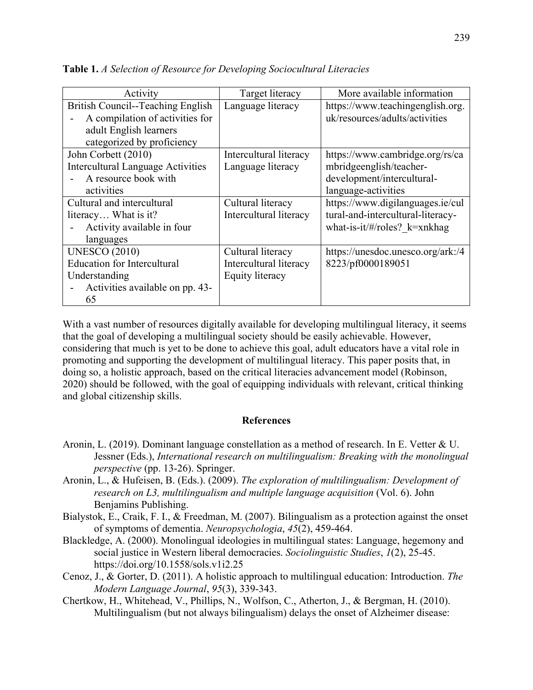| Activity                                                                                                                     | Target literacy                                                       | More available information                                                                                      |
|------------------------------------------------------------------------------------------------------------------------------|-----------------------------------------------------------------------|-----------------------------------------------------------------------------------------------------------------|
| British Council--Teaching English<br>A compilation of activities for<br>adult English learners<br>categorized by proficiency | Language literacy                                                     | https://www.teachingenglish.org.<br>uk/resources/adults/activities                                              |
| John Corbett (2010)<br><b>Intercultural Language Activities</b><br>A resource book with<br>activities                        | Intercultural literacy<br>Language literacy                           | https://www.cambridge.org/rs/ca<br>mbridgeenglish/teacher-<br>development/intercultural-<br>language-activities |
| Cultural and intercultural<br>literacy What is it?<br>Activity available in four<br>languages                                | Cultural literacy<br>Intercultural literacy                           | https://www.digilanguages.ie/cul<br>tural-and-intercultural-literacy-<br>what-is-it/#/roles? $k=$ xnkhag        |
| <b>UNESCO (2010)</b><br><b>Education for Intercultural</b><br>Understanding<br>Activities available on pp. 43-<br>65         | Cultural literacy<br>Intercultural literacy<br><b>Equity literacy</b> | https://unesdoc.unesco.org/ark:/4<br>8223/pf0000189051                                                          |

**Table 1.** *A Selection of Resource for Developing Sociocultural Literacies*

With a vast number of resources digitally available for developing multilingual literacy, it seems that the goal of developing a multilingual society should be easily achievable. However, considering that much is yet to be done to achieve this goal, adult educators have a vital role in promoting and supporting the development of multilingual literacy. This paper posits that, in doing so, a holistic approach, based on the critical literacies advancement model (Robinson, 2020) should be followed, with the goal of equipping individuals with relevant, critical thinking and global citizenship skills.

#### **References**

- Aronin, L. (2019). Dominant language constellation as a method of research. In E. Vetter & U. Jessner (Eds.), *International research on multilingualism: Breaking with the monolingual perspective* (pp. 13-26). Springer.
- Aronin, L., & Hufeisen, B. (Eds.). (2009). *The exploration of multilingualism: Development of research on L3, multilingualism and multiple language acquisition* (Vol. 6). John Benjamins Publishing.
- Bialystok, E., Craik, F. I., & Freedman, M. (2007). Bilingualism as a protection against the onset of symptoms of dementia. *Neuropsychologia*, *45*(2), 459-464.
- Blackledge, A. (2000). Monolingual ideologies in multilingual states: Language, hegemony and social justice in Western liberal democracies. *Sociolinguistic Studies*, *1*(2), 25-45. <https://doi.org/10.1558/sols.v1i2.25>
- Cenoz, J., & Gorter, D. (2011). A holistic approach to multilingual education: Introduction. *The Modern Language Journal*, *95*(3), 339-343.
- Chertkow, H., Whitehead, V., Phillips, N., Wolfson, C., Atherton, J., & Bergman, H. (2010). Multilingualism (but not always bilingualism) delays the onset of Alzheimer disease: